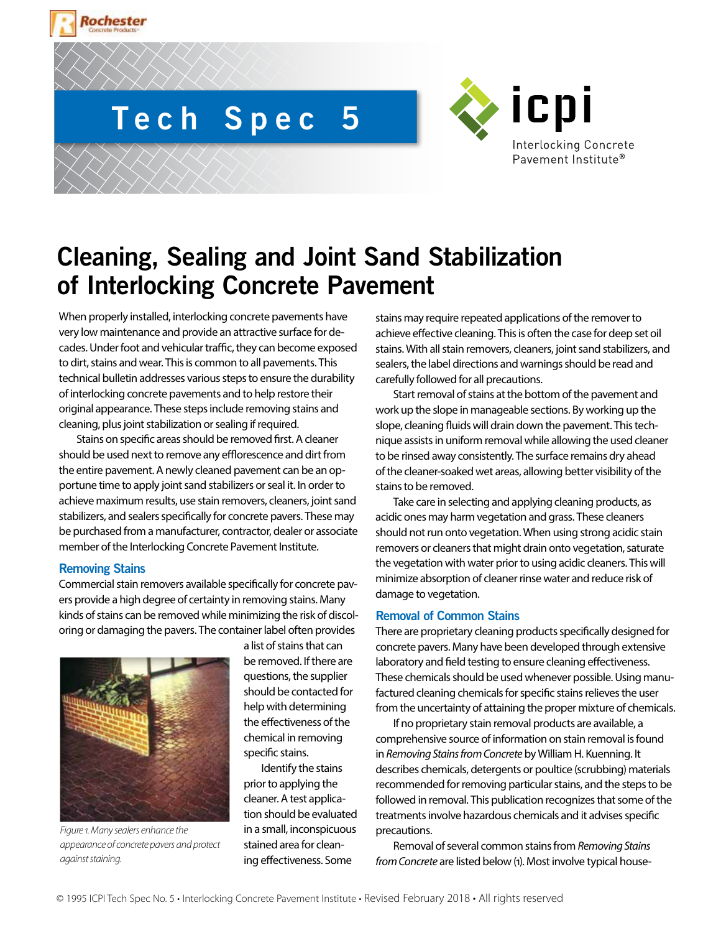

# **Tech Spec 5**



# **Cleaning, Sealing and Joint Sand Stabilization of Interlocking Concrete Pavement**

When properly installed, interlocking concrete pavements have very low maintenance and provide an attractive surface for decades. Under foot and vehicular traffic, they can become exposed to dirt, stains and wear. This is common to all pavements. This technical bulletin addresses various steps to ensure the durability of interlocking concrete pavements and to help restore their original appearance. These steps include removing stains and cleaning, plus joint stabilization or sealing if required.

Stains on specific areas should be removed first. A cleaner should be used next to remove any efflorescence and dirt from the entire pavement. A newly cleaned pavement can be an opportune time to apply joint sand stabilizers or seal it. In order to achieve maximum results, use stain removers, cleaners, joint sand stabilizers, and sealers specifically for concrete pavers. These may be purchased from a manufacturer, contractor, dealer or associate member of the Interlocking Concrete Pavement Institute.

# **Removing Stains**

Commercial stain removers available specifically for concrete pavers provide a high degree of certainty in removing stains. Many kinds of stains can be removed while minimizing the risk of discoloring or damaging the pavers. The container label often provides



*Figure 1. Many sealers enhance the appearance of concrete pavers and protect against staining.* 

a list of stains that can be removed. If there are questions, the supplier should be contacted for help with determining the effectiveness of the chemical in removing specific stains.

Identify the stains prior to applying the cleaner. A test application should be evaluated in a small, inconspicuous stained area for cleaning effectiveness. Some

stains may require repeated applications of the remover to achieve effective cleaning. This is often the case for deep set oil stains. With all stain removers, cleaners, joint sand stabilizers, and sealers, the label directions and warnings should be read and carefully followed for all precautions.

Start removal of stains at the bottom of the pavement and work up the slope in manageable sections. By working up the slope, cleaning fluids will drain down the pavement. This technique assists in uniform removal while allowing the used cleaner to be rinsed away consistently. The surface remains dry ahead of the cleaner-soaked wet areas, allowing better visibility of the stains to be removed.

Take care in selecting and applying cleaning products, as acidic ones may harm vegetation and grass. These cleaners should not run onto vegetation. When using strong acidic stain removers or cleaners that might drain onto vegetation, saturate the vegetation with water prior to using acidic cleaners. This will minimize absorption of cleaner rinse water and reduce risk of damage to vegetation.

# **Removal of Common Stains**

There are proprietary cleaning products specifically designed for concrete pavers. Many have been developed through extensive laboratory and field testing to ensure cleaning effectiveness. These chemicals should be used whenever possible. Using manufactured cleaning chemicals for specific stains relieves the user from the uncertainty of attaining the proper mixture of chemicals.

If no proprietary stain removal products are available, a comprehensive source of information on stain removal is found in *Removing Stains from Concrete* by William H. Kuenning. It describes chemicals, detergents or poultice (scrubbing) materials recommended for removing particular stains, and the steps to be followed in removal. This publication recognizes that some of the treatments involve hazardous chemicals and it advises specific precautions.

Removal of several common stains from *Removing Stains from Concrete* are listed below (1). Most involve typical house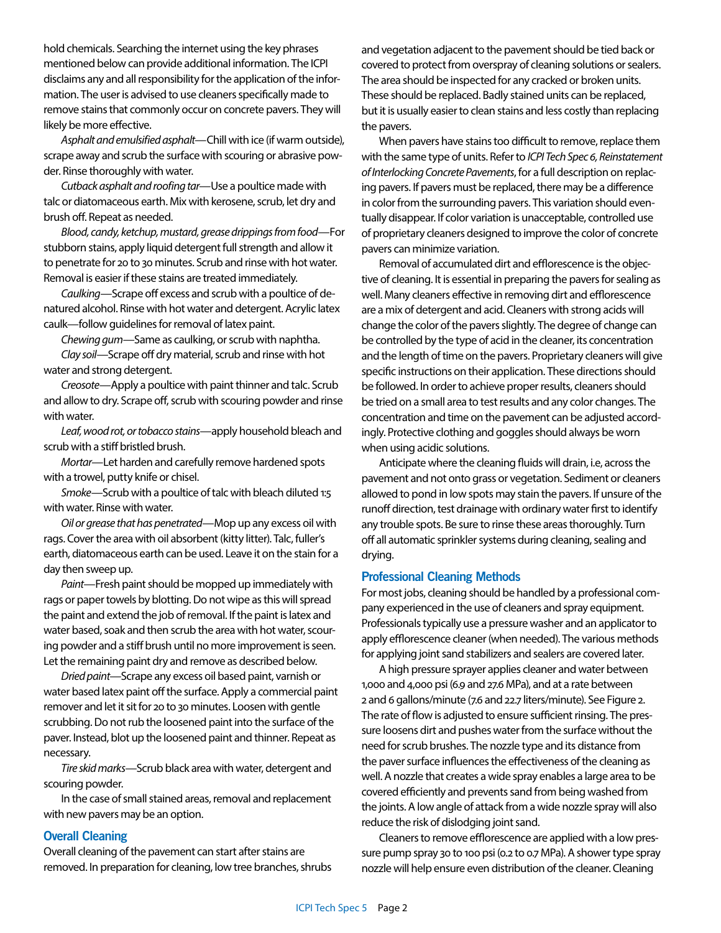hold chemicals. Searching the internet using the key phrases mentioned below can provide additional information. The ICPI disclaims any and all responsibility for the application of the information. The user is advised to use cleaners specifically made to remove stains that commonly occur on concrete pavers. They will likely be more effective.

*Asphalt and emulsified asphalt*—Chill with ice (if warm outside), scrape away and scrub the surface with scouring or abrasive powder. Rinse thoroughly with water.

*Cutback asphalt and roofing tar*—Use a poultice made with talc or diatomaceous earth. Mix with kerosene, scrub, let dry and brush off. Repeat as needed.

*Blood, candy, ketchup, mustard, grease drippings from food*—For stubborn stains, apply liquid detergent full strength and allow it to penetrate for 20 to 30 minutes. Scrub and rinse with hot water. Removal is easier if these stains are treated immediately.

*Caulking*—Scrape off excess and scrub with a poultice of denatured alcohol. Rinse with hot water and detergent. Acrylic latex caulk—follow guidelines for removal of latex paint.

*Chewing gum*—Same as caulking, or scrub with naphtha.

*Clay soil*—Scrape off dry material, scrub and rinse with hot water and strong detergent.

*Creosote*—Apply a poultice with paint thinner and talc. Scrub and allow to dry. Scrape off, scrub with scouring powder and rinse with water.

*Leaf, wood rot, or tobacco stains*—apply household bleach and scrub with a stiff bristled brush.

*Mortar*—Let harden and carefully remove hardened spots with a trowel, putty knife or chisel.

*Smoke*—Scrub with a poultice of talc with bleach diluted 1:5 with water. Rinse with water.

*Oil or grease that has penetrated*—Mop up any excess oil with rags. Cover the area with oil absorbent (kitty litter). Talc, fuller's earth, diatomaceous earth can be used. Leave it on the stain for a day then sweep up.

*Paint*—Fresh paint should be mopped up immediately with rags or paper towels by blotting. Do not wipe as this will spread the paint and extend the job of removal. If the paint is latex and water based, soak and then scrub the area with hot water, scouring powder and a stiff brush until no more improvement is seen. Let the remaining paint dry and remove as described below.

*Dried paint*—Scrape any excess oil based paint, varnish or water based latex paint off the surface. Apply a commercial paint remover and let it sit for 20 to 30 minutes. Loosen with gentle scrubbing. Do not rub the loosened paint into the surface of the paver. Instead, blot up the loosened paint and thinner. Repeat as necessary.

*Tire skid marks*—Scrub black area with water, detergent and scouring powder.

In the case of small stained areas, removal and replacement with new pavers may be an option.

# **Overall Cleaning**

Overall cleaning of the pavement can start after stains are removed. In preparation for cleaning, low tree branches, shrubs

and vegetation adjacent to the pavement should be tied back or covered to protect from overspray of cleaning solutions or sealers. The area should be inspected for any cracked or broken units. These should be replaced. Badly stained units can be replaced, but it is usually easier to clean stains and less costly than replacing the pavers.

When pavers have stains too difficult to remove, replace them with the same type of units. Refer to *ICPI Tech Spec 6, Reinstatement of Interlocking Concrete Pavements*, for a full description on replacing pavers. If pavers must be replaced, there may be a difference in color from the surrounding pavers. This variation should eventually disappear. If color variation is unacceptable, controlled use of proprietary cleaners designed to improve the color of concrete pavers can minimize variation.

Removal of accumulated dirt and efflorescence is the objective of cleaning. It is essential in preparing the pavers for sealing as well. Many cleaners effective in removing dirt and efflorescence are a mix of detergent and acid. Cleaners with strong acids will change the color of the pavers slightly. The degree of change can be controlled by the type of acid in the cleaner, its concentration and the length of time on the pavers. Proprietary cleaners will give specific instructions on their application. These directions should be followed. In order to achieve proper results, cleaners should be tried on a small area to test results and any color changes. The concentration and time on the pavement can be adjusted accordingly. Protective clothing and goggles should always be worn when using acidic solutions.

Anticipate where the cleaning fluids will drain, i.e, across the pavement and not onto grass or vegetation. Sediment or cleaners allowed to pond in low spots may stain the pavers. If unsure of the runoff direction, test drainage with ordinary water first to identify any trouble spots. Be sure to rinse these areas thoroughly. Turn off all automatic sprinkler systems during cleaning, sealing and drying.

#### **Professional Cleaning Methods**

For most jobs, cleaning should be handled by a professional company experienced in the use of cleaners and spray equipment. Professionals typically use a pressure washer and an applicator to apply efflorescence cleaner (when needed). The various methods for applying joint sand stabilizers and sealers are covered later.

A high pressure sprayer applies cleaner and water between 1,000 and 4,000 psi (6.9 and 27.6 MPa), and at a rate between 2 and 6 gallons/minute (7.6 and 22.7 liters/minute). See Figure 2. The rate of flow is adjusted to ensure sufficient rinsing. The pressure loosens dirt and pushes water from the surface without the need for scrub brushes. The nozzle type and its distance from the paver surface influences the effectiveness of the cleaning as well. A nozzle that creates a wide spray enables a large area to be covered efficiently and prevents sand from being washed from the joints. A low angle of attack from a wide nozzle spray will also reduce the risk of dislodging joint sand.

Cleaners to remove efflorescence are applied with a low pressure pump spray 30 to 100 psi (0.2 to 0.7 MPa). A shower type spray nozzle will help ensure even distribution of the cleaner. Cleaning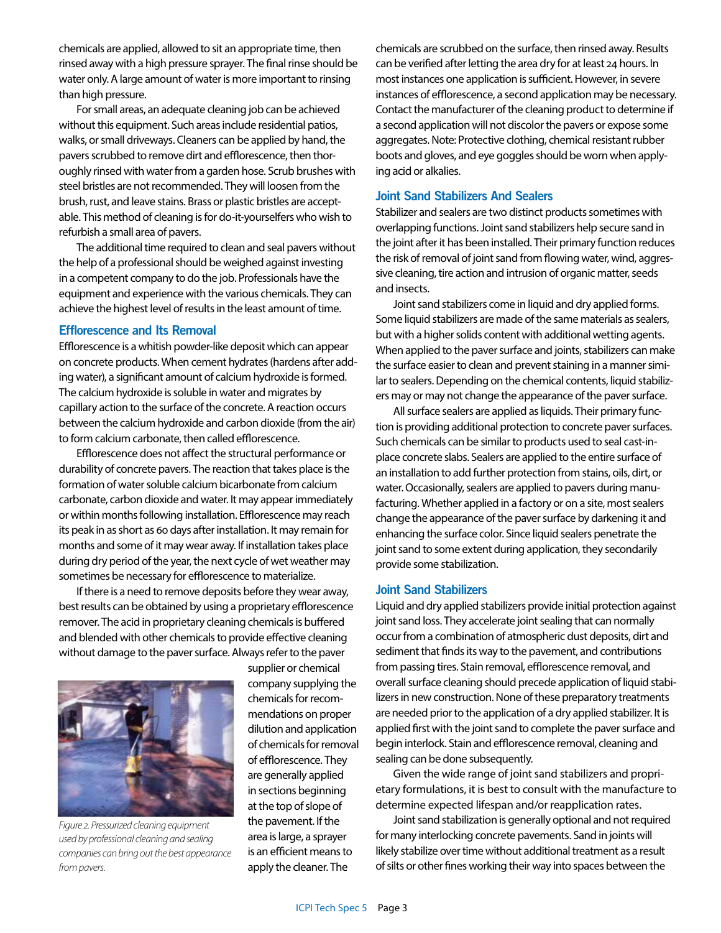chemicals are applied, allowed to sit an appropriate time, then rinsed away with a high pressure sprayer. The final rinse should be water only. A large amount of water is more important to rinsing than high pressure.

For small areas, an adequate cleaning job can be achieved without this equipment. Such areas include residential patios, walks, or small driveways. Cleaners can be applied by hand, the pavers scrubbed to remove dirt and efflorescence, then thoroughly rinsed with water from a garden hose. Scrub brushes with steel bristles are not recommended. They will loosen from the brush, rust, and leave stains. Brass or plastic bristles are acceptable. This method of cleaning is for do-it-yourselfers who wish to refurbish a small area of pavers.

The additional time required to clean and seal pavers without the help of a professional should be weighed against investing in a competent company to do the job. Professionals have the equipment and experience with the various chemicals. They can achieve the highest level of results in the least amount of time.

#### **Efflorescence and Its Removal**

Efflorescence is a whitish powder-like deposit which can appear on concrete products. When cement hydrates (hardens after adding water), a significant amount of calcium hydroxide is formed. The calcium hydroxide is soluble in water and migrates by capillary action to the surface of the concrete. A reaction occurs between the calcium hydroxide and carbon dioxide (from the air) to form calcium carbonate, then called efflorescence.

Efflorescence does not affect the structural performance or durability of concrete pavers. The reaction that takes place is the formation of water soluble calcium bicarbonate from calcium carbonate, carbon dioxide and water. It may appear immediately or within months following installation. Efflorescence may reach its peak in as short as 60 days after installation. It may remain for months and some of it may wear away. If installation takes place during dry period of the year, the next cycle of wet weather may sometimes be necessary for efflorescence to materialize.

If there is a need to remove deposits before they wear away, best results can be obtained by using a proprietary efflorescence remover. The acid in proprietary cleaning chemicals is buffered and blended with other chemicals to provide effective cleaning without damage to the paver surface. Always refer to the paver



*Figure 2. Pressurized cleaning equipment used by professional cleaning and sealing companies can bring out the best appearance from pavers.*

supplier or chemical company supplying the chemicals for recommendations on proper dilution and application of chemicals for removal of efflorescence. They are generally applied in sections beginning at the top of slope of the pavement. If the area is large, a sprayer is an efficient means to apply the cleaner. The

chemicals are scrubbed on the surface, then rinsed away. Results can be verified after letting the area dry for at least 24 hours. In most instances one application is sufficient. However, in severe instances of efflorescence, a second application may be necessary. Contact the manufacturer of the cleaning product to determine if a second application will not discolor the pavers or expose some aggregates. Note: Protective clothing, chemical resistant rubber boots and gloves, and eye goggles should be worn when applying acid or alkalies.

# **Joint Sand Stabilizers And Sealers**

Stabilizer and sealers are two distinct products sometimes with overlapping functions. Joint sand stabilizers help secure sand in the joint after it has been installed. Their primary function reduces the risk of removal of joint sand from flowing water, wind, aggressive cleaning, tire action and intrusion of organic matter, seeds and insects.

Joint sand stabilizers come in liquid and dry applied forms. Some liquid stabilizers are made of the same materials as sealers, but with a higher solids content with additional wetting agents. When applied to the paver surface and joints, stabilizers can make the surface easier to clean and prevent staining in a manner similar to sealers. Depending on the chemical contents, liquid stabilizers may or may not change the appearance of the paver surface.

All surface sealers are applied as liquids. Their primary function is providing additional protection to concrete paver surfaces. Such chemicals can be similar to products used to seal cast-inplace concrete slabs. Sealers are applied to the entire surface of an installation to add further protection from stains, oils, dirt, or water. Occasionally, sealers are applied to pavers during manufacturing. Whether applied in a factory or on a site, most sealers change the appearance of the paver surface by darkening it and enhancing the surface color. Since liquid sealers penetrate the joint sand to some extent during application, they secondarily provide some stabilization.

# **Joint Sand Stabilizers**

Liquid and dry applied stabilizers provide initial protection against joint sand loss. They accelerate joint sealing that can normally occur from a combination of atmospheric dust deposits, dirt and sediment that finds its way to the pavement, and contributions from passing tires. Stain removal, efflorescence removal, and overall surface cleaning should precede application of liquid stabilizers in new construction. None of these preparatory treatments are needed prior to the application of a dry applied stabilizer. It is applied first with the joint sand to complete the paver surface and begin interlock. Stain and efflorescence removal, cleaning and sealing can be done subsequently.

Given the wide range of joint sand stabilizers and proprietary formulations, it is best to consult with the manufacture to determine expected lifespan and/or reapplication rates.

Joint sand stabilization is generally optional and not required for many interlocking concrete pavements. Sand in joints will likely stabilize over time without additional treatment as a result of silts or other fines working their way into spaces between the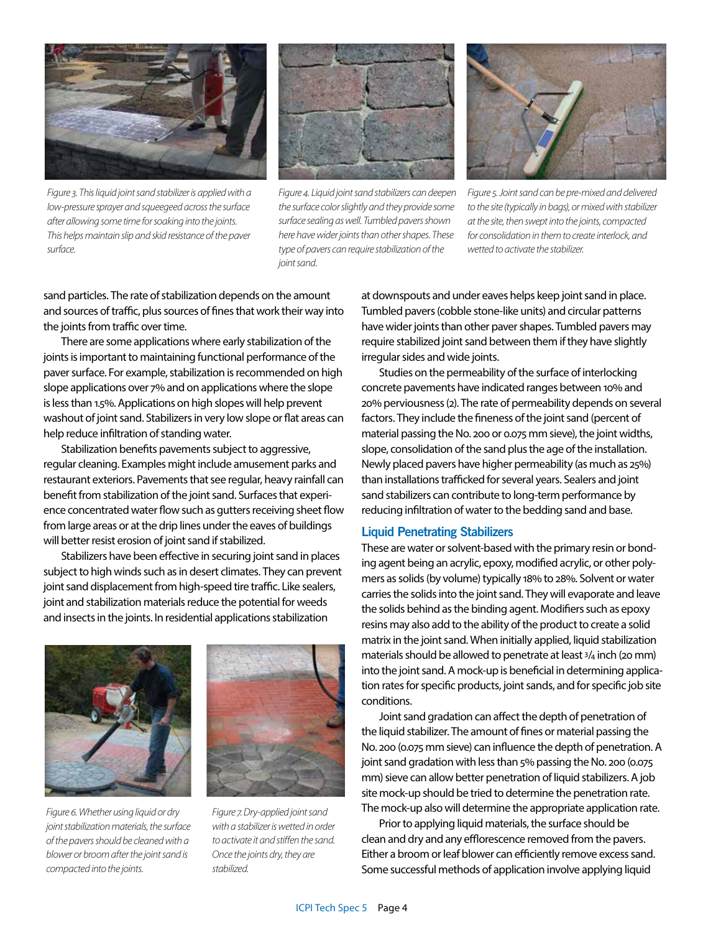

*Figure 3. This liquid joint sand stabilizer is applied with a low-pressure sprayer and squeegeed across the surface after allowing some time for soaking into the joints. This helps maintain slip and skid resistance of the paver surface.*



*Figure 4. Liquid joint sand stabilizers can deepen the surface color slightly and they provide some surface sealing as well. Tumbled pavers shown here have wider joints than other shapes. These type of pavers can require stabilization of the joint sand.*



*Figure 5. Joint sand can be pre-mixed and delivered to the site (typically in bags), or mixed with stabilizer at the site, then swept into the joints, compacted for consolidation in them to create interlock, and wetted to activate the stabilizer.*

sand particles. The rate of stabilization depends on the amount and sources of traffic, plus sources of fines that work their way into the joints from traffic over time.

There are some applications where early stabilization of the joints is important to maintaining functional performance of the paver surface. For example, stabilization is recommended on high slope applications over 7% and on applications where the slope is less than 1.5%. Applications on high slopes will help prevent washout of joint sand. Stabilizers in very low slope or flat areas can help reduce infiltration of standing water.

Stabilization benefits pavements subject to aggressive, regular cleaning. Examples might include amusement parks and restaurant exteriors. Pavements that see regular, heavy rainfall can benefit from stabilization of the joint sand. Surfaces that experience concentrated water flow such as gutters receiving sheet flow from large areas or at the drip lines under the eaves of buildings will better resist erosion of joint sand if stabilized.

Stabilizers have been effective in securing joint sand in places subject to high winds such as in desert climates. They can prevent joint sand displacement from high-speed tire traffic. Like sealers, joint and stabilization materials reduce the potential for weeds and insects in the joints. In residential applications stabilization



*Figure 6. Whether using liquid or dry joint stabilization materials, the surface of the pavers should be cleaned with a blower or broom after the joint sand is compacted into the joints.* 



*Figure 7. Dry-applied joint sand with a stabilizer is wetted in order to activate it and stiffen the sand. Once the joints dry, they are stabilized.*

at downspouts and under eaves helps keep joint sand in place. Tumbled pavers (cobble stone-like units) and circular patterns have wider joints than other paver shapes. Tumbled pavers may require stabilized joint sand between them if they have slightly irregular sides and wide joints.

Studies on the permeability of the surface of interlocking concrete pavements have indicated ranges between 10% and 20% perviousness (2). The rate of permeability depends on several factors. They include the fineness of the joint sand (percent of material passing the No. 200 or 0.075 mm sieve), the joint widths, slope, consolidation of the sand plus the age of the installation. Newly placed pavers have higher permeability (as much as 25%) than installations trafficked for several years. Sealers and joint sand stabilizers can contribute to long-term performance by reducing infiltration of water to the bedding sand and base.

#### **Liquid Penetrating Stabilizers**

These are water or solvent-based with the primary resin or bonding agent being an acrylic, epoxy, modified acrylic, or other polymers as solids (by volume) typically 18% to 28%. Solvent or water carries the solids into the joint sand. They will evaporate and leave the solids behind as the binding agent. Modifiers such as epoxy resins may also add to the ability of the product to create a solid matrix in the joint sand. When initially applied, liquid stabilization materials should be allowed to penetrate at least 3/4 inch (20 mm) into the joint sand. A mock-up is beneficial in determining application rates for specific products, joint sands, and for specific job site conditions.

Joint sand gradation can affect the depth of penetration of the liquid stabilizer. The amount of fines or material passing the No. 200 (0.075 mm sieve) can influence the depth of penetration. A joint sand gradation with less than 5% passing the No. 200 (0.075 mm) sieve can allow better penetration of liquid stabilizers. A job site mock-up should be tried to determine the penetration rate. The mock-up also will determine the appropriate application rate.

Prior to applying liquid materials, the surface should be clean and dry and any efflorescence removed from the pavers. Either a broom or leaf blower can efficiently remove excess sand. Some successful methods of application involve applying liquid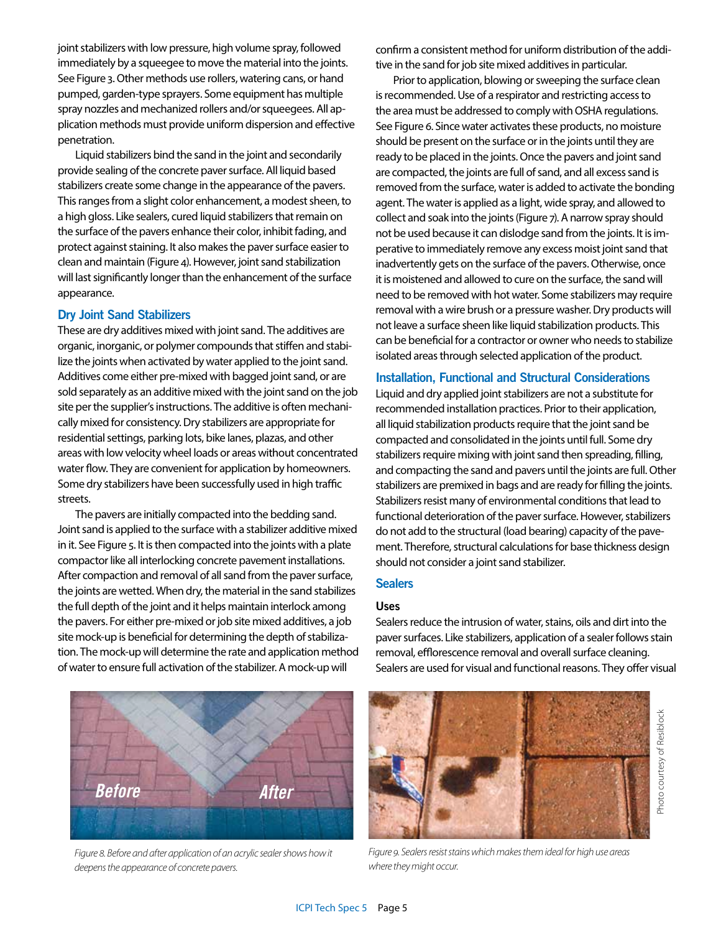joint stabilizers with low pressure, high volume spray, followed immediately by a squeegee to move the material into the joints. See Figure 3. Other methods use rollers, watering cans, or hand pumped, garden-type sprayers. Some equipment has multiple spray nozzles and mechanized rollers and/or squeegees. All application methods must provide uniform dispersion and effective penetration.

Liquid stabilizers bind the sand in the joint and secondarily provide sealing of the concrete paver surface. All liquid based stabilizers create some change in the appearance of the pavers. This ranges from a slight color enhancement, a modest sheen, to a high gloss. Like sealers, cured liquid stabilizers that remain on the surface of the pavers enhance their color, inhibit fading, and protect against staining. It also makes the paver surface easier to clean and maintain (Figure 4). However, joint sand stabilization will last significantly longer than the enhancement of the surface appearance.

#### **Dry Joint Sand Stabilizers**

These are dry additives mixed with joint sand. The additives are organic, inorganic, or polymer compounds that stiffen and stabilize the joints when activated by water applied to the joint sand. Additives come either pre-mixed with bagged joint sand, or are sold separately as an additive mixed with the joint sand on the job site per the supplier's instructions. The additive is often mechanically mixed for consistency. Dry stabilizers are appropriate for residential settings, parking lots, bike lanes, plazas, and other areas with low velocity wheel loads or areas without concentrated water flow. They are convenient for application by homeowners. Some dry stabilizers have been successfully used in high traffic streets.

The pavers are initially compacted into the bedding sand. Joint sand is applied to the surface with a stabilizer additive mixed in it. See Figure 5. It is then compacted into the joints with a plate compactor like all interlocking concrete pavement installations. After compaction and removal of all sand from the paver surface, the joints are wetted. When dry, the material in the sand stabilizes the full depth of the joint and it helps maintain interlock among the pavers. For either pre-mixed or job site mixed additives, a job site mock-up is beneficial for determining the depth of stabilization. The mock-up will determine the rate and application method of water to ensure full activation of the stabilizer. A mock-up will



*Figure 8. Before and after application of an acrylic sealer shows how it deepens the appearance of concrete pavers.*

confirm a consistent method for uniform distribution of the additive in the sand for job site mixed additives in particular.

Prior to application, blowing or sweeping the surface clean is recommended. Use of a respirator and restricting access to the area must be addressed to comply with OSHA regulations. See Figure 6. Since water activates these products, no moisture should be present on the surface or in the joints until they are ready to be placed in the joints. Once the pavers and joint sand are compacted, the joints are full of sand, and all excess sand is removed from the surface, water is added to activate the bonding agent. The water is applied as a light, wide spray, and allowed to collect and soak into the joints (Figure 7). A narrow spray should not be used because it can dislodge sand from the joints. It is imperative to immediately remove any excess moist joint sand that inadvertently gets on the surface of the pavers. Otherwise, once it is moistened and allowed to cure on the surface, the sand will need to be removed with hot water. Some stabilizers may require removal with a wire brush or a pressure washer. Dry products will not leave a surface sheen like liquid stabilization products. This can be beneficial for a contractor or owner who needs to stabilize isolated areas through selected application of the product.

#### **Installation, Functional and Structural Considerations**

Liquid and dry applied joint stabilizers are not a substitute for recommended installation practices. Prior to their application, all liquid stabilization products require that the joint sand be compacted and consolidated in the joints until full. Some dry stabilizers require mixing with joint sand then spreading, filling, and compacting the sand and pavers until the joints are full. Other stabilizers are premixed in bags and are ready for filling the joints. Stabilizers resist many of environmental conditions that lead to functional deterioration of the paver surface. However, stabilizers do not add to the structural (load bearing) capacity of the pavement. Therefore, structural calculations for base thickness design should not consider a joint sand stabilizer.

# **Sealers**

#### **Uses**

Sealers reduce the intrusion of water, stains, oils and dirt into the paver surfaces. Like stabilizers, application of a sealer follows stain removal, efflorescence removal and overall surface cleaning. Sealers are used for visual and functional reasons. They offer visual



*Figure 9. Sealers resist stains which makes them ideal for high use areas where they might occur.*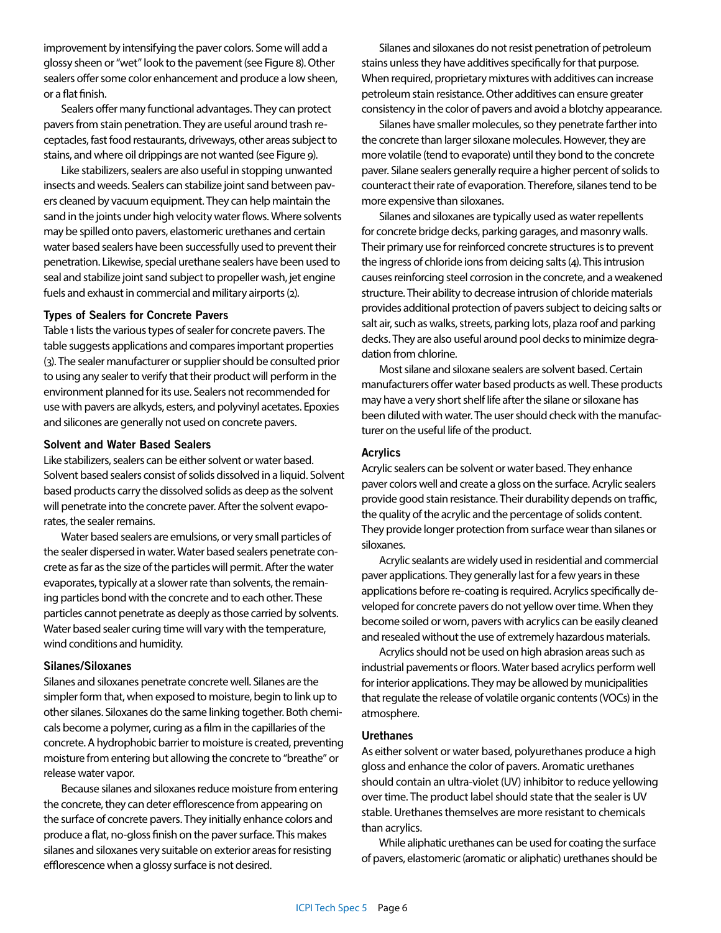improvement by intensifying the paver colors. Some will add a glossy sheen or "wet" look to the pavement (see Figure 8). Other sealers offer some color enhancement and produce a low sheen, or a flat finish.

Sealers offer many functional advantages. They can protect pavers from stain penetration. They are useful around trash receptacles, fast food restaurants, driveways, other areas subject to stains, and where oil drippings are not wanted (see Figure 9).

Like stabilizers, sealers are also useful in stopping unwanted insects and weeds. Sealers can stabilize joint sand between pavers cleaned by vacuum equipment. They can help maintain the sand in the joints under high velocity water flows. Where solvents may be spilled onto pavers, elastomeric urethanes and certain water based sealers have been successfully used to prevent their penetration. Likewise, special urethane sealers have been used to seal and stabilize joint sand subject to propeller wash, jet engine fuels and exhaust in commercial and military airports (2).

#### **Types of Sealers for Concrete Pavers**

Table 1 lists the various types of sealer for concrete pavers. The table suggests applications and compares important properties (3). The sealer manufacturer or supplier should be consulted prior to using any sealer to verify that their product will perform in the environment planned for its use. Sealers not recommended for use with pavers are alkyds, esters, and polyvinyl acetates. Epoxies and silicones are generally not used on concrete pavers.

#### **Solvent and Water Based Sealers**

Like stabilizers, sealers can be either solvent or water based. Solvent based sealers consist of solids dissolved in a liquid. Solvent based products carry the dissolved solids as deep as the solvent will penetrate into the concrete paver. After the solvent evaporates, the sealer remains.

Water based sealers are emulsions, or very small particles of the sealer dispersed in water. Water based sealers penetrate concrete as far as the size of the particles will permit. After the water evaporates, typically at a slower rate than solvents, the remaining particles bond with the concrete and to each other. These particles cannot penetrate as deeply as those carried by solvents. Water based sealer curing time will vary with the temperature, wind conditions and humidity.

#### **Silanes/Siloxanes**

Silanes and siloxanes penetrate concrete well. Silanes are the simpler form that, when exposed to moisture, begin to link up to other silanes. Siloxanes do the same linking together. Both chemicals become a polymer, curing as a film in the capillaries of the concrete. A hydrophobic barrier to moisture is created, preventing moisture from entering but allowing the concrete to "breathe" or release water vapor.

Because silanes and siloxanes reduce moisture from entering the concrete, they can deter efflorescence from appearing on the surface of concrete pavers. They initially enhance colors and produce a flat, no-gloss finish on the paver surface. This makes silanes and siloxanes very suitable on exterior areas for resisting efflorescence when a glossy surface is not desired.

Silanes and siloxanes do not resist penetration of petroleum stains unless they have additives specifically for that purpose. When required, proprietary mixtures with additives can increase petroleum stain resistance. Other additives can ensure greater consistency in the color of pavers and avoid a blotchy appearance.

Silanes have smaller molecules, so they penetrate farther into the concrete than larger siloxane molecules. However, they are more volatile (tend to evaporate) until they bond to the concrete paver. Silane sealers generally require a higher percent of solids to counteract their rate of evaporation. Therefore, silanes tend to be more expensive than siloxanes.

Silanes and siloxanes are typically used as water repellents for concrete bridge decks, parking garages, and masonry walls. Their primary use for reinforced concrete structures is to prevent the ingress of chloride ions from deicing salts (4). This intrusion causes reinforcing steel corrosion in the concrete, and a weakened structure. Their ability to decrease intrusion of chloride materials provides additional protection of pavers subject to deicing salts or salt air, such as walks, streets, parking lots, plaza roof and parking decks. They are also useful around pool decks to minimize degradation from chlorine.

Most silane and siloxane sealers are solvent based. Certain manufacturers offer water based products as well. These products may have a very short shelf life after the silane or siloxane has been diluted with water. The user should check with the manufacturer on the useful life of the product.

#### **Acrylics**

Acrylic sealers can be solvent or water based. They enhance paver colors well and create a gloss on the surface. Acrylic sealers provide good stain resistance. Their durability depends on traffic, the quality of the acrylic and the percentage of solids content. They provide longer protection from surface wear than silanes or siloxanes.

Acrylic sealants are widely used in residential and commercial paver applications. They generally last for a few years in these applications before re-coating is required. Acrylics specifically developed for concrete pavers do not yellow over time. When they become soiled or worn, pavers with acrylics can be easily cleaned and resealed without the use of extremely hazardous materials.

Acrylics should not be used on high abrasion areas such as industrial pavements or floors. Water based acrylics perform well for interior applications. They may be allowed by municipalities that regulate the release of volatile organic contents (VOCs) in the atmosphere.

# **Urethanes**

As either solvent or water based, polyurethanes produce a high gloss and enhance the color of pavers. Aromatic urethanes should contain an ultra-violet (UV) inhibitor to reduce yellowing over time. The product label should state that the sealer is UV stable. Urethanes themselves are more resistant to chemicals than acrylics.

While aliphatic urethanes can be used for coating the surface of pavers, elastomeric (aromatic or aliphatic) urethanes should be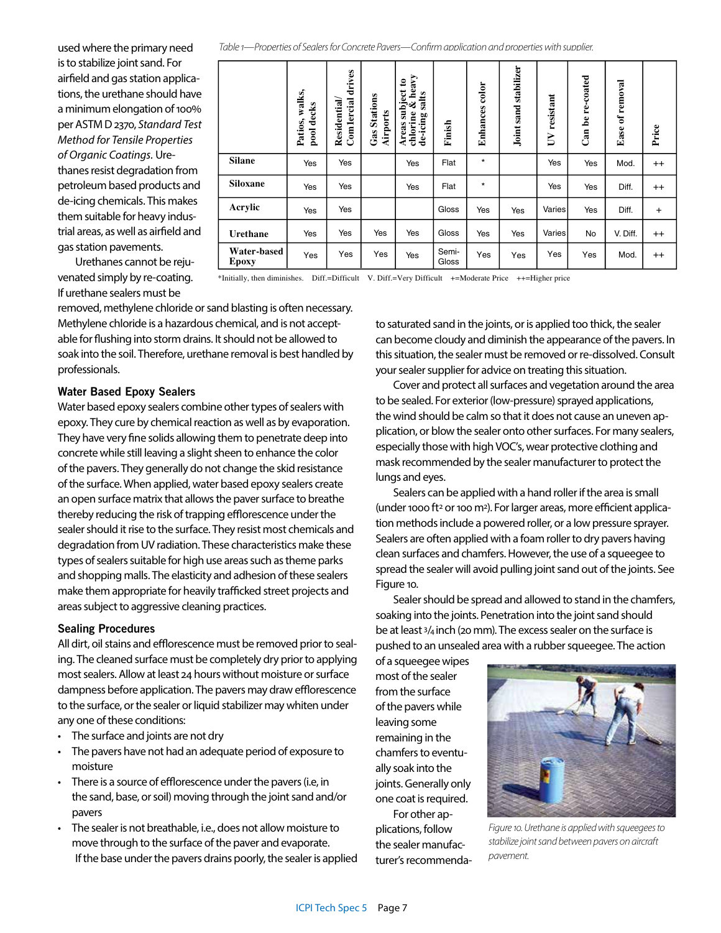used where the primary need is to stabilize joint sand. For airfield and gas station applications, the urethane should have a minimum elongation of 100% per ASTM D 2370, *Standard Test Method for Tensile Properties of Organic Coatings.* Urethanes resist degradation from petroleum based products and de-icing chemicals. This makes them suitable for heavy industrial areas, as well as airfield and gas station pavements.

|                      | walks,<br>pool decks<br>Patios, | drives<br>Comlercial<br>Residential | <b>Gas Stations</b><br><b>Airports</b> | heavy<br>$\mathbf{c}$<br>Areas subject<br>chlorine & he<br>salts<br>de-icing | Finish         | Enhances color | Joint sand stabilizer | resistant<br>$\overline{\mathsf{D}}$ | re-coated<br>Can be | of removal<br>Ease | Price     |
|----------------------|---------------------------------|-------------------------------------|----------------------------------------|------------------------------------------------------------------------------|----------------|----------------|-----------------------|--------------------------------------|---------------------|--------------------|-----------|
| <b>Silane</b>        | Yes                             | Yes                                 |                                        | Yes                                                                          | Flat           | $\star$        |                       | Yes                                  | Yes                 | Mod.               | $++$      |
| Siloxane             | Yes                             | Yes                                 |                                        | Yes                                                                          | Flat           | $\star$        |                       | Yes                                  | Yes                 | Diff.              | $^{++}$   |
| Acrylic              | Yes                             | Yes                                 |                                        |                                                                              | Gloss          | Yes            | Yes                   | Varies                               | Yes                 | Diff.              | $\ddot{}$ |
| Urethane             | Yes                             | Yes                                 | Yes                                    | Yes                                                                          | Gloss          | Yes            | Yes                   | Varies                               | No                  | V. Diff.           | $^{++}$   |
| Water-based<br>Epoxy | Yes                             | Yes                                 | Yes                                    | Yes                                                                          | Semi-<br>Gloss | Yes            | Yes                   | Yes                                  | Yes                 | Mod.               | $^{++}$   |

Urethanes cannot be rejuvenated simply by re-coating. If urethane sealers must be

\*Initially, then diminishes. Diff.=Difficult V. Diff.=Very Difficult +=Moderate Price ++=Higher price

*Table 1—Properties of Sealers for Concrete Pavers—Confirm application and properties with supplier.*

removed, methylene chloride or sand blasting is often necessary. Methylene chloride is a hazardous chemical, and is not acceptable for flushing into storm drains. It should not be allowed to soak into the soil. Therefore, urethane removal is best handled by professionals.

# **Water Based Epoxy Sealers**

Water based epoxy sealers combine other types of sealers with epoxy. They cure by chemical reaction as well as by evaporation. They have very fine solids allowing them to penetrate deep into concrete while still leaving a slight sheen to enhance the color of the pavers. They generally do not change the skid resistance of the surface. When applied, water based epoxy sealers create an open surface matrix that allows the paver surface to breathe thereby reducing the risk of trapping efflorescence under the sealer should it rise to the surface. They resist most chemicals and degradation from UV radiation. These characteristics make these types of sealers suitable for high use areas such as theme parks and shopping malls. The elasticity and adhesion of these sealers make them appropriate for heavily trafficked street projects and areas subject to aggressive cleaning practices.

# **Sealing Procedures**

All dirt, oil stains and efflorescence must be removed prior to sealing. The cleaned surface must be completely dry prior to applying most sealers. Allow at least 24 hours without moisture or surface dampness before application. The pavers may draw efflorescence to the surface, or the sealer or liquid stabilizer may whiten under any one of these conditions:

- The surface and joints are not dry
- The pavers have not had an adequate period of exposure to moisture
- There is a source of efflorescence under the pavers (i.e, in the sand, base, or soil) moving through the joint sand and/or pavers
- The sealer is not breathable, i.e., does not allow moisture to move through to the surface of the paver and evaporate. If the base under the pavers drains poorly, the sealer is applied

to saturated sand in the joints, or is applied too thick, the sealer can become cloudy and diminish the appearance of the pavers. In this situation, the sealer must be removed or re-dissolved. Consult your sealer supplier for advice on treating this situation.

Cover and protect all surfaces and vegetation around the area to be sealed. For exterior (low-pressure) sprayed applications, the wind should be calm so that it does not cause an uneven application, or blow the sealer onto other surfaces. For many sealers, especially those with high VOC's, wear protective clothing and mask recommended by the sealer manufacturer to protect the lungs and eyes.

Sealers can be applied with a hand roller if the area is small (under 1000 ft<sup>2</sup> or 100 m<sup>2</sup>). For larger areas, more efficient application methods include a powered roller, or a low pressure sprayer. Sealers are often applied with a foam roller to dry pavers having clean surfaces and chamfers. However, the use of a squeegee to spread the sealer will avoid pulling joint sand out of the joints. See Figure 10.

Sealer should be spread and allowed to stand in the chamfers, soaking into the joints. Penetration into the joint sand should be at least 3/4 inch (20 mm). The excess sealer on the surface is pushed to an unsealed area with a rubber squeegee. The action

of a squeegee wipes most of the sealer from the surface of the pavers while leaving some remaining in the chamfers to eventually soak into the joints. Generally only one coat is required.

For other applications, follow the sealer manufacturer's recommenda-



*Figure 10. Urethane is applied with squeegees to stabilize joint sand between pavers on aircraft pavement.*